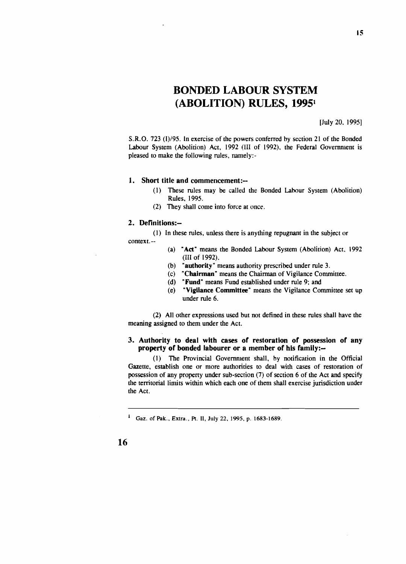# BONDED LABOUR SYSTEM (ABOLITION) RULES, 19951

[July 20. 1995]

S.R.O. 723 (1)/95. In exercise of the powers conferred by section 21 of the Bonded Labour System (Abolition) Act, 1992 (1II of 1992), the Federal Government is pleased to make the following rules, namely:-

#### 1. Short title and commencement:--

- (I) These rules may be called the Bonded Labour System (Abolition) Rules. 1995.
- (2) They shall come into force at once.

### 2. Definitions:-

(I) In these rules. unless there is anything repugnant in the subject or context.--

- (a) "Act" means the Bonded Labour System (Abolition) Act, 1992 (Ill of 1992).
- (b) "authority" means authority prescribed under rule 3.
- (c) "Chairman" means the Chairman of Vigilance Committee.
- (d) "Fund" means Fund established under rule 9; and
- (e) "Vigilance Committee" means the Vigilance Committee set up under rule 6.

(2) All other expressions used but not defined in these rules shall have the meaning assigned to them under the Act.

## 3. Authority to deal with cases of restoration of possession of any property of bonded labourer or a member of his family:--

(I) The Provincial Government shall. by notification in the Official Gazette. establish one or more authorities to deal with cases of restoration of possession of any property under sub-section (7) of section 6 of the Act and specify the territorial limits within which each one of them shall exercise jurisdiction under the Act.

<sup>&</sup>lt;sup>1</sup> Gaz. of Pak., Extra., Pt. II, July 22, 1995, p. 1683-1689.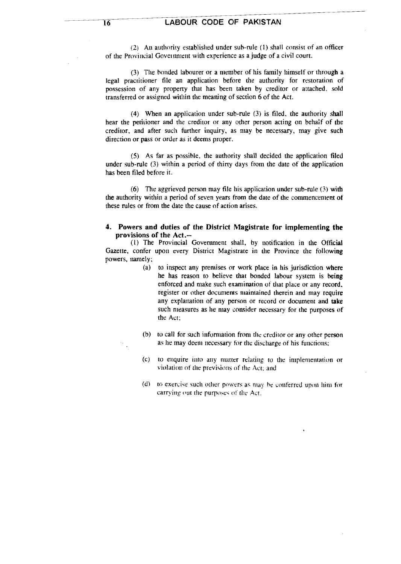## 16 LABOUR CODE OF PAKISTAN

(2) An authority established under sub-rule (1) shall consist of an officer of the Provincial Government with experience as a judge of a civil court.

(3) The bonded labourer or a member of his family himself or through a legal practitioner file an application before the authority for restoration of possession of any property that has been taken by creditor or attached. sold transferred or assigned within the meaning of section 6 of the Act.

(4) When an application under sub-rule (3) is filed. the authority shall hear the petitioner and the creditor or any other person acting on behalf of the creditor. and after such further inquiry. as may be necessary, may give such direction or pass or order as it deems proper.

(5) As far as possible. the authority shall decided the application filed under sub-rule (3) within a period of thirty days from the date of the application has been filed before it.

(6) The aggrieved person may file his application under sub-rule (3) with the authority within a period of seven years from the date of the commencement or these rules or from the date the cause of action arises.

## 4. Powers and duties of the District Magistrate for implementing the provisions of the Act.--

(l) The Provincial Government shall, by notification in the Official Gazette. confer upon every District Magistrate in the Province the following powers. namely;

- (a) to inspect any premises or work place in his jurisdiction where he has reason to believe that bonded labour system is being enforced and make such examination of that place or any record. register or other documents maintained therein and may require any explanation of any person or record or document and take such measures as he may consider necessary for the purposes of the Act;
- (b) to call for such information from the creditor or any other person as he may deem necessary for the discharge of his functions;
- (c) to enquire into any matter relating to the implementation or violation of the previsions of the Act; and
- $(d)$  to exercise such other powers as may be conferred upon him for carrying put the purposes of the Act.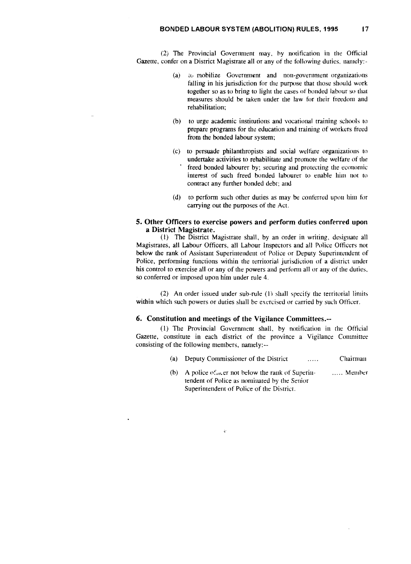(2) The Provincial Government may, hy notification in the Official Gazette, confer on a District Magistrate all or any of the following duties, namely:-

- (a) to mobilize Government and non-government organizations falling in his jurisdiction for the purpose that those should work together so as to bring to light the cases of bonded labour so that measures should be taken under the law for their freedom and rehabilitation;
- (b) to urge academic institutions and vocational training schools to prepare programs for the education and training of workers freed from the bonded labour system;
- (c) to persuade philanthropists and social welfare organizations to undertake activities to rehabilitate and promote the welfare of the freed bonded labourer by; securing and protecting the economic interest of such freed bonded labourer to enable him not to contract any further bonded debt; and
- (d) to perform such other duties as may be conferred upon him for carrying out the purposes of the Act.

## 5. Other Officers to exercise powers and perform duties conferred upon a District Magistrate.

(I) The District Magistrate shall, by an order in writing, designate all Magistrates, all Labour Officers, all Lahour Inspectors and all Police Officers not below the rank of Assistant Superintendent of Police or Deputy Superintendent of Police, performing functions within the territorial jurisdiction of a district under his control to exercise all or any of the powers and perform all or any of the duties, so conferred or imposed upon him under rule 4.

(2) An order issued under sub-rule (I) shall specify the territorial limits within which such powers or duties shall be exercised or carried by such Officer.

## 6. Constitution and meetings of the Vigilance Committees.--

"

(1) The Provincial Government shall, by notification in the Official Gazette, constitute in each district of the province a Vigilance Committee consisting of the following members, namely:--

- (a) Deputy Commissioner of the District  $\ldots$ Chairman
- (b) A police of  $\text{arctan}$  helow the rank of Superintendent of Police as nominated by the Senior Superintendent of Police of the District. ..... Member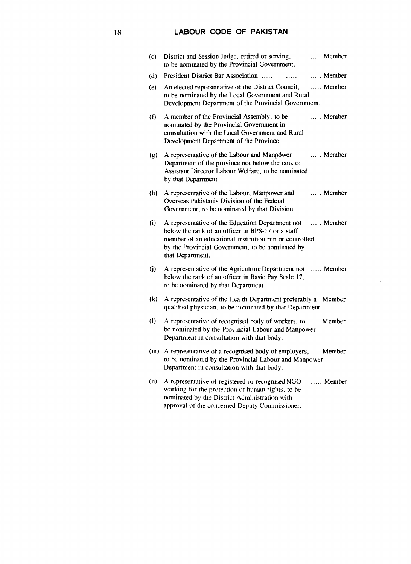## **18 LABOUR CODE OF PAKISTAN**

 $\sim$ 

 $\lambda$ 

 $\mathcal{A}^{\mathcal{A}}$ 

| (c)                        | District and Session Judge, retired or serving,<br>to be nominated by the Provincial Government.                                                                                                                                        | Member            |
|----------------------------|-----------------------------------------------------------------------------------------------------------------------------------------------------------------------------------------------------------------------------------------|-------------------|
| (d)                        | President District Bar Association<br>aaaaan i                                                                                                                                                                                          | Member            |
| (e)                        | An elected representative of the District Council,<br>to be nominated by the Local Government and Rural<br>Development Department of the Provincial Government.                                                                         | $\ldots$ . Member |
| (f)                        | A member of the Provincial Assembly, to be<br>nominated by the Provincial Government in<br>consultation with the Local Government and Rural<br>Development Department of the Province.                                                  | Member            |
| (g)                        | A representative of the Labour and Manpower<br>Department of the province not below the rank of<br>Assistant Director Labour Welfare, to be nominated<br>by that Department                                                             | $\ldots$ . Member |
| (h)                        | A representative of the Labour, Manpower and<br>Overseas Pakistanis Division of the Federal<br>Government, to be nominated by that Division.                                                                                            | $\ldots$ . Member |
| (i)                        | A representative of the Education Department not<br>below the rank of an officer in BPS-17 or a staff<br>member of an educational institution run or controlled<br>by the Provincial Government, to be nominated by<br>that Department. | $\ldots$ . Member |
| $\ddot{\mathbf{U}}$        | A representative of the Agriculture Department not  Member<br>below the rank of an officer in Basic Pay Scale 17,<br>to be nominated by that Department                                                                                 |                   |
| $\left( \mathbf{k}\right)$ | A representative of the Health Department preferably a<br>qualified physician, to be nominated by that Department.                                                                                                                      | Member            |
| (1)                        | A representative of recognised body of workers, to<br>be nominated by the Provincial Labour and Manpower<br>Department in consultation with that body.                                                                                  | Member            |
| (m)                        | A representative of a recognised body of employers,<br>to be nominated by the Provincial Labour and Manpower<br>Department in consultation with that body.                                                                              | Member            |
| (n)                        | A representative of registered or recognised NGO<br>working for the protection of human rights, to be<br>nominated by the District Administration with<br>approval of the concerned Deputy Commissioner.                                | $\ldots$ . Member |

 $\sim$   $\sim$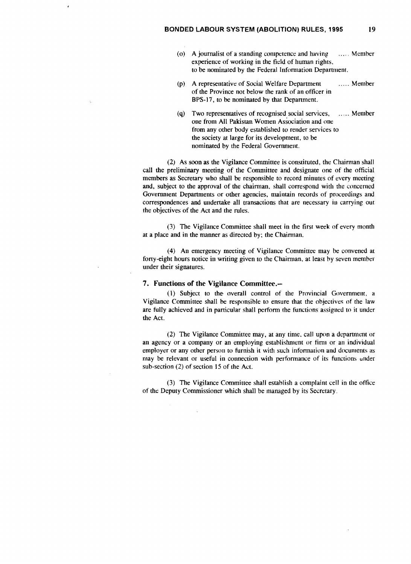- (0) A journalist of a standing competence and having  $\ldots$  Member experience of working in the field of human rights, to be nominated by the Federal Information Department.
- (p) A representative of Social Welfare Department ...... Member of the Province not below the rank of an officer in BPS-I7, to be nominated by that Department.
- (q) Two representatives of recognised social services, .. ,.. Member one from All Pakistan Women Association and one from any other body established to render services to the society at large for its development, to be nominated by the Federal Government.

(2) As soon as the Vigilance Committee is constituted, the Chairman shall call the preliminary meeting of the Committee and designate one of the official members as Secretary who shall be responsible to record minutes of every meeting and, subject to the approval of the chairman, shall correspond with the concerned Government Departments or other agencies, maintain records of proceedings and correspondences and undertake all transactions that are necessary in carrying out the objectives of the Act and the rules.

(3) The Vigilance Committee shall meet in the first week of every month at a place and in the manner as directed by; the Chairman.

(4) An emergency meeting of Vigilance Committee may be convened at forty-eight hours notice in writing given to the Chairman, at least hy seven member under their signatures.

#### 7. Functions of the Vigilance Committee.--

(1) Subject to the overall control of the Provincial Government, a Vigilance Committee shall be responsible to ensure that the objectives of the law are fully achieved and in particular shall perform the functions assigned to it under the Act.

(2) The Vigilance Committee may, at any time, call upon a department or an agency or a company or an employing establishment or firm or an individual employer or any other person to furnish it with such information and documents as may be relevant or useful in connection with performance of its functions under sub-section (2) of section 15 of the Act.

(3) The Vigilance Committee shall establish a complaint cell in the office of the Deputy Commissioner which shall be managed by its Secretary.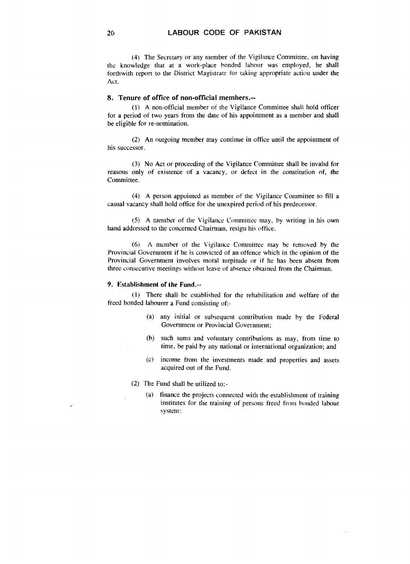(4) The Secretary or any member of the Vigilance Committee, on having the knowledge that at a work-place bonded labour was employed, he shal1 forthwith report to the District Magistrate for taking appropriate action under the Act.

## 8. Tenure of office of non-official members.--

(l) A non-official member of the Vigilance Committee shall hold officer for a period of two years from the date of his appointment as a member and shall be eligible for re-nomination.

(2) An outgoing member may continue in office until the appointment of his successor.

(3) No Act or proceeding of the Vigilance Committee shall be invalid for reasons only of existence of a vacancy, or defect in the constitution of, the Committee.

(4) A person appointed as member of the Vigilance Committee to fill a casual vacancy shall hold office for the unexpired period of his predecessor.

(5) A member of the Vigilance Committee may, by writing in his own hand addressed to the concerned Chairman. resign his office.

(6) A member of the Vigilance Committee may be removed by the Provincial Govenunent if he is convicted of an offence which in the opinion of the Provincial Government involves moral turpitude or if he has been absent from three consecutive meetings without leave of absence obtained from the Chairman.

#### 9. Establishment of the Fund.--

 $(1)$  There shall be established for the rehabilitation and welfare of the freed bonded labourer a Fund consisting of.-

- (a) any initial or subsequent contribution made by the Federal Government or Provincial Government;
- (b) such sums and voluntary contributions as may, from time to time, be paid by any national or international organization; and
- (Cl income from the investments made and properties and assets acquired out of the Fund.
- (2) The Fund shall be utilized to:-
	- (a) finance the projects connected with the establishment of training institutes for the training of persons freed from bonded labour system: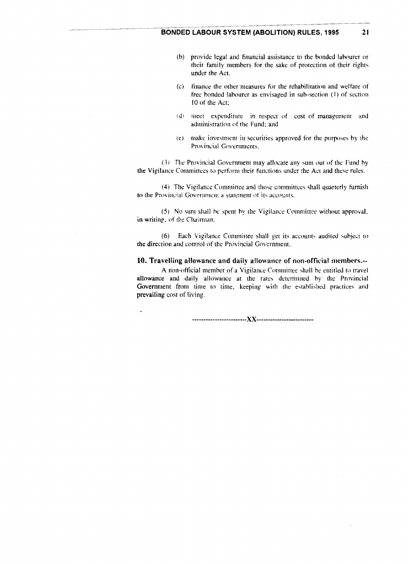- (b) provide legal and financial assistance to the bonded labourer or their family members for the sake of protection of their rights under the Act.
- (c) finance the other measures for the rehabilitation and welfare of free bonded labourer as envisaged in sub-section (1) of section 10 of the Act;
- (d) meet expenditure in respect of cost of management and administration of the Fund; and
- (e) make investment in securities approved for the purposes by the Provincial Governments.

(3) The Provincial Government may allocate any sum out of the Fund by the Vigilance Committees to perform their functions under the Act and these rules.

(4) The Vigilance Committee and those committees shall quarterly furnish to the Provincial Government a statement of its accounts.

(5) No sum shall he spent hy the Vigilance Committee without approval, in writing, of the Chairman,

(6) Each Vigilance Committee shall get its accounts audited subject to the direction and control of the Provincial Government.

## 10. Travelling allowance and daily allowance of non-official members.--

A non-official member of a Vigilance Committee shall be entitled to travel allowance and daily allowance at the rates determined by the Provincial Government from time to time. keeping with the established practices and prevailing cost of living.

--------- ---------------XX ---------------------- ---